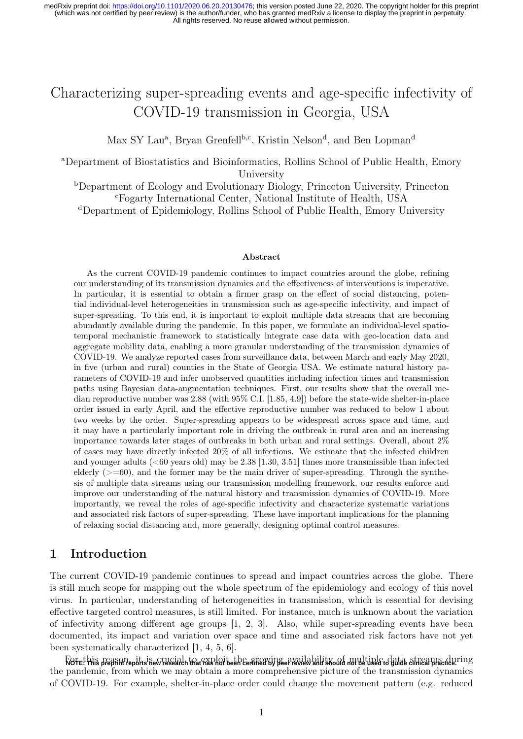# Characterizing super-spreading events and age-specific infectivity of COVID-19 transmission in Georgia, USA

Max SY Lau<sup>a</sup>, Bryan Grenfell<sup>b,c</sup>, Kristin Nelson<sup>d</sup>, and Ben Lopman<sup>d</sup>

<sup>a</sup>Department of Biostatistics and Bioinformatics, Rollins School of Public Health, Emory University

<sup>b</sup>Department of Ecology and Evolutionary Biology, Princeton University, Princeton <sup>c</sup>Fogarty International Center, National Institute of Health, USA

<sup>d</sup>Department of Epidemiology, Rollins School of Public Health, Emory University

#### Abstract

As the current COVID-19 pandemic continues to impact countries around the globe, refining our understanding of its transmission dynamics and the effectiveness of interventions is imperative. In particular, it is essential to obtain a firmer grasp on the effect of social distancing, potential individual-level heterogeneities in transmission such as age-specific infectivity, and impact of super-spreading. To this end, it is important to exploit multiple data streams that are becoming abundantly available during the pandemic. In this paper, we formulate an individual-level spatiotemporal mechanistic framework to statistically integrate case data with geo-location data and aggregate mobility data, enabling a more granular understanding of the transmission dynamics of COVID-19. We analyze reported cases from surveillance data, between March and early May 2020, in five (urban and rural) counties in the State of Georgia USA. We estimate natural history parameters of COVID-19 and infer unobserved quantities including infection times and transmission paths using Bayesian data-augmentation techniques. First, our results show that the overall median reproductive number was 2.88 (with 95% C.I. [1.85, 4.9]) before the state-wide shelter-in-place order issued in early April, and the effective reproductive number was reduced to below 1 about two weeks by the order. Super-spreading appears to be widespread across space and time, and it may have a particularly important role in driving the outbreak in rural area and an increasing importance towards later stages of outbreaks in both urban and rural settings. Overall, about 2% of cases may have directly infected 20% of all infections. We estimate that the infected children and younger adults ( $\leq 60$  years old) may be 2.38 [1.30, 3.51] times more transmissible than infected elderly  $(>=60)$ , and the former may be the main driver of super-spreading. Through the synthesis of multiple data streams using our transmission modelling framework, our results enforce and improve our understanding of the natural history and transmission dynamics of COVID-19. More importantly, we reveal the roles of age-specific infectivity and characterize systematic variations and associated risk factors of super-spreading. These have important implications for the planning of relaxing social distancing and, more generally, designing optimal control measures.

# 1 Introduction

The current COVID-19 pandemic continues to spread and impact countries across the globe. There is still much scope for mapping out the whole spectrum of the epidemiology and ecology of this novel virus. In particular, understanding of heterogeneities in transmission, which is essential for devising effective targeted control measures, is still limited. For instance, much is unknown about the variation of infectivity among different age groups [1, 2, 3]. Also, while super-spreading events have been documented, its impact and variation over space and time and associated risk factors have not yet been systematically characterized [1, 4, 5, 6].

Rofet his peason epit is wrugial, to exploit the exploit wife are wild bilit wood number and to gate streams during the pandemic, from which we may obtain a more comprehensive picture of the transmission dynamics of COVID-19. For example, shelter-in-place order could change the movement pattern (e.g. reduced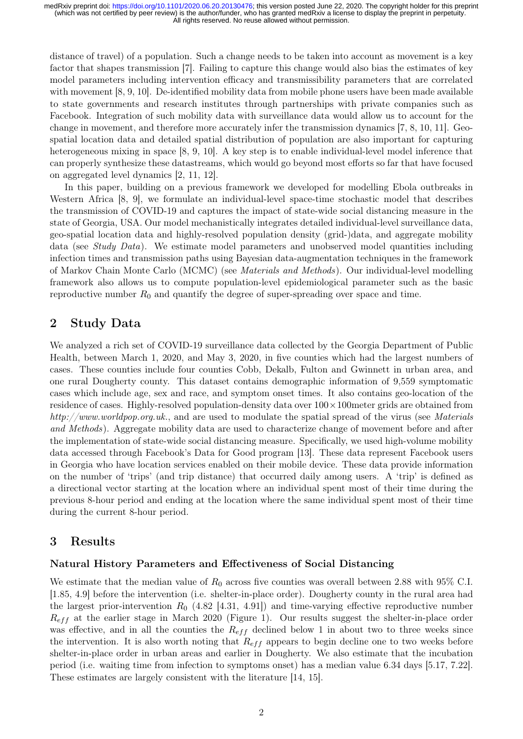distance of travel) of a population. Such a change needs to be taken into account as movement is a key factor that shapes transmission [7]. Failing to capture this change would also bias the estimates of key model parameters including intervention efficacy and transmissibility parameters that are correlated with movement [8, 9, 10]. De-identified mobility data from mobile phone users have been made available to state governments and research institutes through partnerships with private companies such as Facebook. Integration of such mobility data with surveillance data would allow us to account for the change in movement, and therefore more accurately infer the transmission dynamics [7, 8, 10, 11]. Geospatial location data and detailed spatial distribution of population are also important for capturing heterogeneous mixing in space [8, 9, 10]. A key step is to enable individual-level model inference that can properly synthesize these datastreams, which would go beyond most efforts so far that have focused on aggregated level dynamics [2, 11, 12].

In this paper, building on a previous framework we developed for modelling Ebola outbreaks in Western Africa [8, 9], we formulate an individual-level space-time stochastic model that describes the transmission of COVID-19 and captures the impact of state-wide social distancing measure in the state of Georgia, USA. Our model mechanistically integrates detailed individual-level surveillance data, geo-spatial location data and highly-resolved population density (grid-)data, and aggregate mobility data (see *Study Data*). We estimate model parameters and unobserved model quantities including infection times and transmission paths using Bayesian data-augmentation techniques in the framework of Markov Chain Monte Carlo (MCMC) (see Materials and Methods). Our individual-level modelling framework also allows us to compute population-level epidemiological parameter such as the basic reproductive number  $R_0$  and quantify the degree of super-spreading over space and time.

# 2 Study Data

We analyzed a rich set of COVID-19 surveillance data collected by the Georgia Department of Public Health, between March 1, 2020, and May 3, 2020, in five counties which had the largest numbers of cases. These counties include four counties Cobb, Dekalb, Fulton and Gwinnett in urban area, and one rural Dougherty county. This dataset contains demographic information of 9,559 symptomatic cases which include age, sex and race, and symptom onset times. It also contains geo-location of the residence of cases. Highly-resolved population-density data over  $100 \times 100$  meter grids are obtained from http://www.worldpop.org.uk., and are used to modulate the spatial spread of the virus (see Materials and Methods). Aggregate mobility data are used to characterize change of movement before and after the implementation of state-wide social distancing measure. Specifically, we used high-volume mobility data accessed through Facebook's Data for Good program [13]. These data represent Facebook users in Georgia who have location services enabled on their mobile device. These data provide information on the number of 'trips' (and trip distance) that occurred daily among users. A 'trip' is defined as a directional vector starting at the location where an individual spent most of their time during the previous 8-hour period and ending at the location where the same individual spent most of their time during the current 8-hour period.

# 3 Results

### Natural History Parameters and Effectiveness of Social Distancing

We estimate that the median value of  $R_0$  across five counties was overall between 2.88 with 95% C.I. [1.85, 4.9] before the intervention (i.e. shelter-in-place order). Dougherty county in the rural area had the largest prior-intervention  $R_0$  (4.82 [4.31, 4.91]) and time-varying effective reproductive number  $R_{eff}$  at the earlier stage in March 2020 (Figure 1). Our results suggest the shelter-in-place order was effective, and in all the counties the  $R_{eff}$  declined below 1 in about two to three weeks since the intervention. It is also worth noting that  $R_{eff}$  appears to begin decline one to two weeks before shelter-in-place order in urban areas and earlier in Dougherty. We also estimate that the incubation period (i.e. waiting time from infection to symptoms onset) has a median value 6.34 days [5.17, 7.22]. These estimates are largely consistent with the literature [14, 15].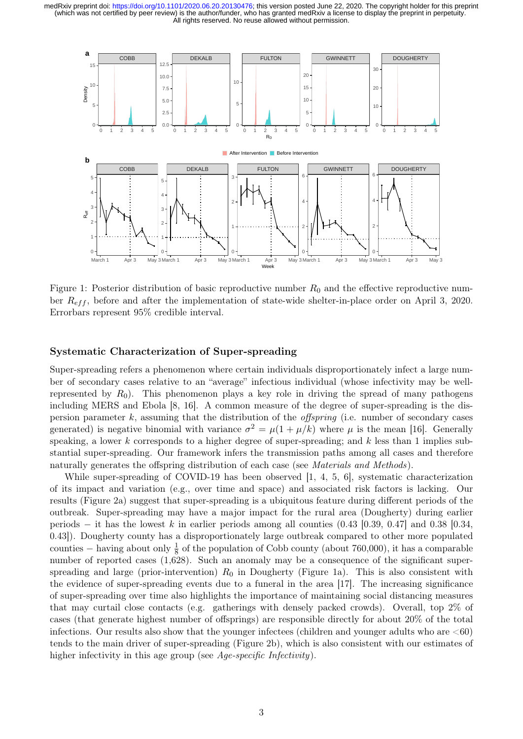

Figure 1: Posterior distribution of basic reproductive number  $R_0$  and the effective reproductive number  $R_{eff}$ , before and after the implementation of state-wide shelter-in-place order on April 3, 2020. Errorbars represent 95% credible interval.

#### Systematic Characterization of Super-spreading

Super-spreading refers a phenomenon where certain individuals disproportionately infect a large number of secondary cases relative to an "average" infectious individual (whose infectivity may be wellrepresented by  $R_0$ ). This phenomenon plays a key role in driving the spread of many pathogens including MERS and Ebola [8, 16]. A common measure of the degree of super-spreading is the dispersion parameter k, assuming that the distribution of the *offspring* (i.e. number of secondary cases generated) is negative binomial with variance  $\sigma^2 = \mu(1 + \mu/k)$  where  $\mu$  is the mean [16]. Generally speaking, a lower k corresponds to a higher degree of super-spreading; and  $k$  less than 1 implies substantial super-spreading. Our framework infers the transmission paths among all cases and therefore naturally generates the offspring distribution of each case (see *Materials and Methods*).

While super-spreading of COVID-19 has been observed [1, 4, 5, 6], systematic characterization of its impact and variation (e.g., over time and space) and associated risk factors is lacking. Our results (Figure 2a) suggest that super-spreading is a ubiquitous feature during different periods of the outbreak. Super-spreading may have a major impact for the rural area (Dougherty) during earlier periods – it has the lowest k in earlier periods among all counties  $(0.43 \mid 0.39, 0.47]$  and 0.38 [0.34, 0.43]). Dougherty county has a disproportionately large outbreak compared to other more populated counties – having about only  $\frac{1}{8}$  of the population of Cobb county (about 760,000), it has a comparable number of reported cases  $(1,628)$ . Such an anomaly may be a consequence of the significant superspreading and large (prior-intervention)  $R_0$  in Dougherty (Figure 1a). This is also consistent with the evidence of super-spreading events due to a funeral in the area [17]. The increasing significance of super-spreading over time also highlights the importance of maintaining social distancing measures that may curtail close contacts (e.g. gatherings with densely packed crowds). Overall, top 2% of cases (that generate highest number of offsprings) are responsible directly for about 20% of the total infections. Our results also show that the younger infectees (children and younger adults who are  $\leq 60$ ) tends to the main driver of super-spreading (Figure 2b), which is also consistent with our estimates of higher infectivity in this age group (see Age-specific Infectivity).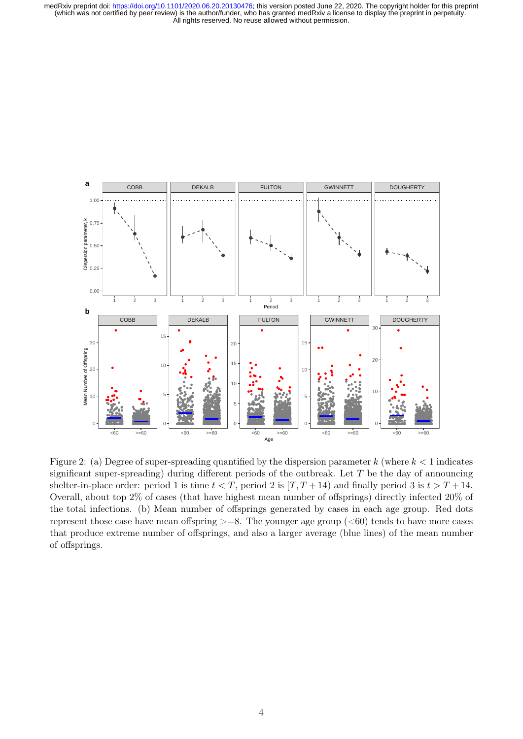medRxiv preprint doi: https://doi.org/10.1101/2020.06.20.20130476; this version posted June 22, 2020. The copyright holder for this preprint (which was not certified by peer review) is the author/funder, who has granted me All rights reserved. No reuse allowed without permission.



Figure 2: (a) Degree of super-spreading quantified by the dispersion parameter k (where  $k < 1$  indicates significant super-spreading) during different periods of the outbreak. Let  $T$  be the day of announcing shelter-in-place order: period 1 is time  $t < T$ , period 2 is  $[T, T+14)$  and finally period 3 is  $t > T + 14$ . Overall, about top 2% of cases (that have highest mean number of offsprings) directly infected 20% of the total infections. (b) Mean number of offsprings generated by cases in each age group. Red dots represent those case have mean offspring  $>=8$ . The younger age group ( $<60$ ) tends to have more cases that produce extreme number of offsprings, and also a larger average (blue lines) of the mean number of offsprings.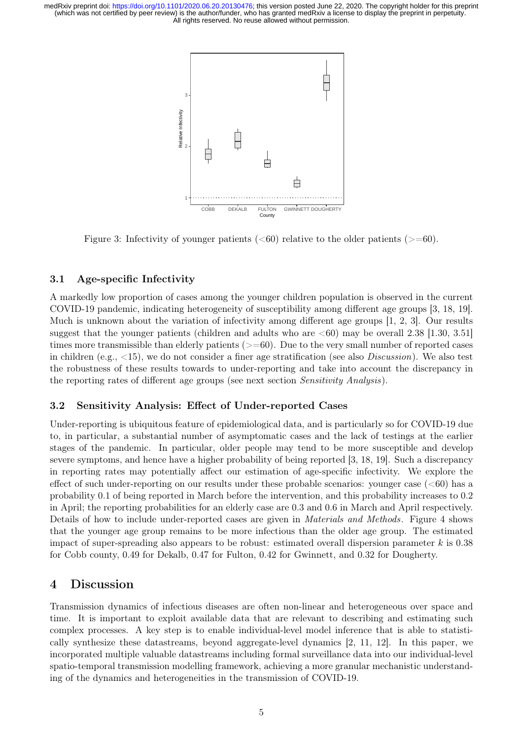

Figure 3: Infectivity of younger patients  $( $60$ ) relative to the older patients  $(>=0$ .$ 

#### 3.1 Age-specific Infectivity

A markedly low proportion of cases among the younger children population is observed in the current COVID-19 pandemic, indicating heterogeneity of susceptibility among different age groups [3, 18, 19]. Much is unknown about the variation of infectivity among different age groups [1, 2, 3]. Our results suggest that the younger patients (children and adults who are  $\langle 60 \rangle$  may be overall 2.38 [1.30, 3.51] times more transmissible than elderly patients  $(>=60)$ . Due to the very small number of reported cases in children (e.g.,  $\langle 15 \rangle$ , we do not consider a finer age stratification (see also *Discussion*). We also test the robustness of these results towards to under-reporting and take into account the discrepancy in the reporting rates of different age groups (see next section Sensitivity Analysis).

#### 3.2 Sensitivity Analysis: Effect of Under-reported Cases

Under-reporting is ubiquitous feature of epidemiological data, and is particularly so for COVID-19 due to, in particular, a substantial number of asymptomatic cases and the lack of testings at the earlier stages of the pandemic. In particular, older people may tend to be more susceptible and develop severe symptoms, and hence have a higher probability of being reported [3, 18, 19]. Such a discrepancy in reporting rates may potentially affect our estimation of age-specific infectivity. We explore the effect of such under-reporting on our results under these probable scenarios: younger case  $( $60$ )$  has a probability 0.1 of being reported in March before the intervention, and this probability increases to 0.2 in April; the reporting probabilities for an elderly case are 0.3 and 0.6 in March and April respectively. Details of how to include under-reported cases are given in Materials and Methods. Figure 4 shows that the younger age group remains to be more infectious than the older age group. The estimated impact of super-spreading also appears to be robust: estimated overall dispersion parameter  $k$  is 0.38 for Cobb county, 0.49 for Dekalb, 0.47 for Fulton, 0.42 for Gwinnett, and 0.32 for Dougherty.

### 4 Discussion

Transmission dynamics of infectious diseases are often non-linear and heterogeneous over space and time. It is important to exploit available data that are relevant to describing and estimating such complex processes. A key step is to enable individual-level model inference that is able to statistically synthesize these datastreams, beyond aggregate-level dynamics [2, 11, 12]. In this paper, we incorporated multiple valuable datastreams including formal surveillance data into our individual-level spatio-temporal transmission modelling framework, achieving a more granular mechanistic understanding of the dynamics and heterogeneities in the transmission of COVID-19.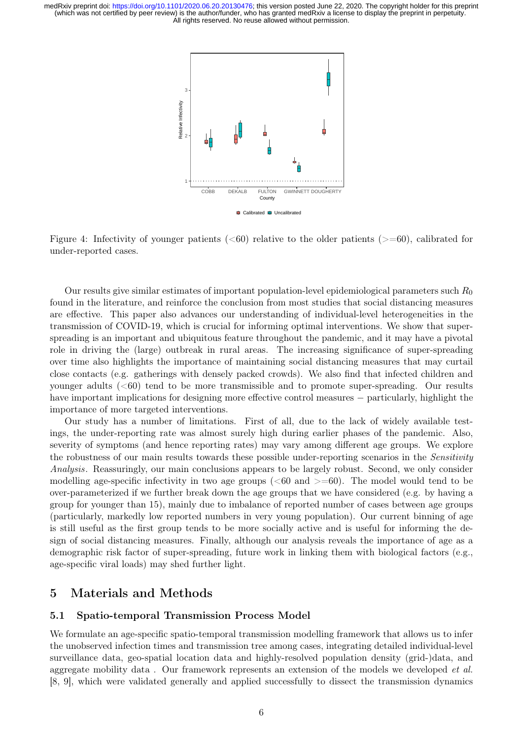

Figure 4: Infectivity of younger patients ( $<60$ ) relative to the older patients ( $>=60$ ), calibrated for under-reported cases.

Our results give similar estimates of important population-level epidemiological parameters such  $R_0$ found in the literature, and reinforce the conclusion from most studies that social distancing measures are effective. This paper also advances our understanding of individual-level heterogeneities in the transmission of COVID-19, which is crucial for informing optimal interventions. We show that superspreading is an important and ubiquitous feature throughout the pandemic, and it may have a pivotal role in driving the (large) outbreak in rural areas. The increasing significance of super-spreading over time also highlights the importance of maintaining social distancing measures that may curtail close contacts (e.g. gatherings with densely packed crowds). We also find that infected children and younger adults  $( $60$ )$  tend to be more transmissible and to promote super-spreading. Our results have important implications for designing more effective control measures − particularly, highlight the importance of more targeted interventions.

Our study has a number of limitations. First of all, due to the lack of widely available testings, the under-reporting rate was almost surely high during earlier phases of the pandemic. Also, severity of symptoms (and hence reporting rates) may vary among different age groups. We explore the robustness of our main results towards these possible under-reporting scenarios in the Sensitivity Analysis. Reassuringly, our main conclusions appears to be largely robust. Second, we only consider modelling age-specific infectivity in two age groups ( $<60$  and  $>=60$ ). The model would tend to be over-parameterized if we further break down the age groups that we have considered (e.g. by having a group for younger than 15), mainly due to imbalance of reported number of cases between age groups (particularly, markedly low reported numbers in very young population). Our current binning of age is still useful as the first group tends to be more socially active and is useful for informing the design of social distancing measures. Finally, although our analysis reveals the importance of age as a demographic risk factor of super-spreading, future work in linking them with biological factors (e.g., age-specific viral loads) may shed further light.

### 5 Materials and Methods

#### 5.1 Spatio-temporal Transmission Process Model

We formulate an age-specific spatio-temporal transmission modelling framework that allows us to infer the unobserved infection times and transmission tree among cases, integrating detailed individual-level surveillance data, geo-spatial location data and highly-resolved population density (grid-)data, and aggregate mobility data . Our framework represents an extension of the models we developed et al. [8, 9], which were validated generally and applied successfully to dissect the transmission dynamics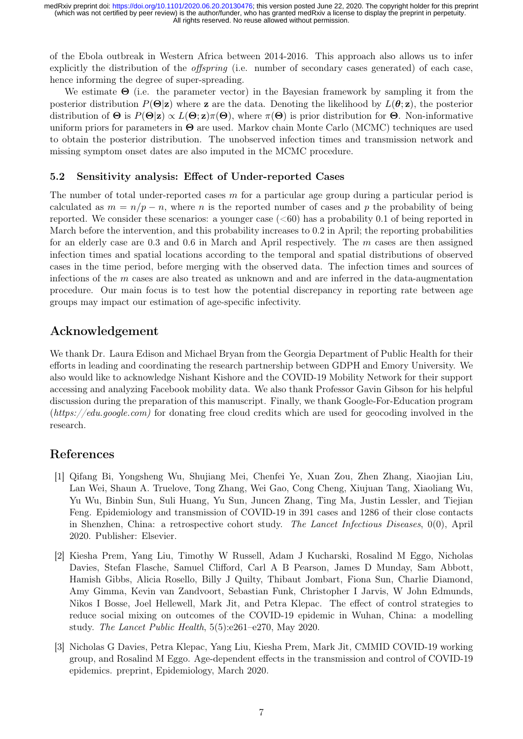of the Ebola outbreak in Western Africa between 2014-2016. This approach also allows us to infer explicitly the distribution of the *offspring* (i.e. number of secondary cases generated) of each case, hence informing the degree of super-spreading.

We estimate  $\Theta$  (i.e. the parameter vector) in the Bayesian framework by sampling it from the posterior distribution  $P(\Theta|\mathbf{z})$  where z are the data. Denoting the likelihood by  $L(\theta; \mathbf{z})$ , the posterior distribution of  $\Theta$  is  $P(\Theta|\mathbf{z}) \propto L(\Theta; \mathbf{z})\pi(\Theta)$ , where  $\pi(\Theta)$  is prior distribution for  $\Theta$ . Non-informative uniform priors for parameters in  $\Theta$  are used. Markov chain Monte Carlo (MCMC) techniques are used to obtain the posterior distribution. The unobserved infection times and transmission network and missing symptom onset dates are also imputed in the MCMC procedure.

#### 5.2 Sensitivity analysis: Effect of Under-reported Cases

The number of total under-reported cases  $m$  for a particular age group during a particular period is calculated as  $m = n/p - n$ , where n is the reported number of cases and p the probability of being reported. We consider these scenarios: a younger case  $( $60$ )$  has a probability 0.1 of being reported in March before the intervention, and this probability increases to 0.2 in April; the reporting probabilities for an elderly case are  $0.3$  and  $0.6$  in March and April respectively. The m cases are then assigned infection times and spatial locations according to the temporal and spatial distributions of observed cases in the time period, before merging with the observed data. The infection times and sources of infections of the  $m$  cases are also treated as unknown and and are inferred in the data-augmentation procedure. Our main focus is to test how the potential discrepancy in reporting rate between age groups may impact our estimation of age-specific infectivity.

# Acknowledgement

We thank Dr. Laura Edison and Michael Bryan from the Georgia Department of Public Health for their efforts in leading and coordinating the research partnership between GDPH and Emory University. We also would like to acknowledge Nishant Kishore and the COVID-19 Mobility Network for their support accessing and analyzing Facebook mobility data. We also thank Professor Gavin Gibson for his helpful discussion during the preparation of this manuscript. Finally, we thank Google-For-Education program (https://edu.google.com) for donating free cloud credits which are used for geocoding involved in the research.

# References

- [1] Qifang Bi, Yongsheng Wu, Shujiang Mei, Chenfei Ye, Xuan Zou, Zhen Zhang, Xiaojian Liu, Lan Wei, Shaun A. Truelove, Tong Zhang, Wei Gao, Cong Cheng, Xiujuan Tang, Xiaoliang Wu, Yu Wu, Binbin Sun, Suli Huang, Yu Sun, Juncen Zhang, Ting Ma, Justin Lessler, and Tiejian Feng. Epidemiology and transmission of COVID-19 in 391 cases and 1286 of their close contacts in Shenzhen, China: a retrospective cohort study. The Lancet Infectious Diseases, 0(0), April 2020. Publisher: Elsevier.
- [2] Kiesha Prem, Yang Liu, Timothy W Russell, Adam J Kucharski, Rosalind M Eggo, Nicholas Davies, Stefan Flasche, Samuel Clifford, Carl A B Pearson, James D Munday, Sam Abbott, Hamish Gibbs, Alicia Rosello, Billy J Quilty, Thibaut Jombart, Fiona Sun, Charlie Diamond, Amy Gimma, Kevin van Zandvoort, Sebastian Funk, Christopher I Jarvis, W John Edmunds, Nikos I Bosse, Joel Hellewell, Mark Jit, and Petra Klepac. The effect of control strategies to reduce social mixing on outcomes of the COVID-19 epidemic in Wuhan, China: a modelling study. The Lancet Public Health, 5(5):e261–e270, May 2020.
- [3] Nicholas G Davies, Petra Klepac, Yang Liu, Kiesha Prem, Mark Jit, CMMID COVID-19 working group, and Rosalind M Eggo. Age-dependent effects in the transmission and control of COVID-19 epidemics. preprint, Epidemiology, March 2020.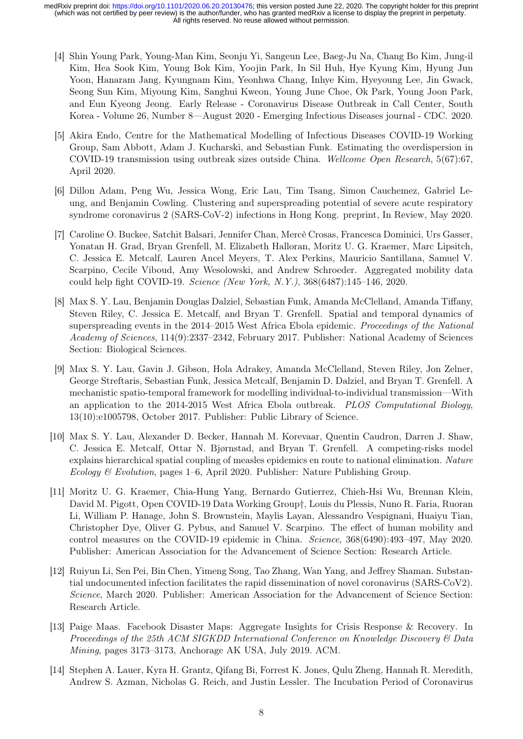- [4] Shin Young Park, Young-Man Kim, Seonju Yi, Sangeun Lee, Baeg-Ju Na, Chang Bo Kim, Jung-il Kim, Hea Sook Kim, Young Bok Kim, Yoojin Park, In Sil Huh, Hye Kyung Kim, Hyung Jun Yoon, Hanaram Jang, Kyungnam Kim, Yeonhwa Chang, Inhye Kim, Hyeyoung Lee, Jin Gwack, Seong Sun Kim, Miyoung Kim, Sanghui Kweon, Young June Choe, Ok Park, Young Joon Park, and Eun Kyeong Jeong. Early Release - Coronavirus Disease Outbreak in Call Center, South Korea - Volume 26, Number 8—August 2020 - Emerging Infectious Diseases journal - CDC. 2020.
- [5] Akira Endo, Centre for the Mathematical Modelling of Infectious Diseases COVID-19 Working Group, Sam Abbott, Adam J. Kucharski, and Sebastian Funk. Estimating the overdispersion in COVID-19 transmission using outbreak sizes outside China. Wellcome Open Research, 5(67):67, April 2020.
- [6] Dillon Adam, Peng Wu, Jessica Wong, Eric Lau, Tim Tsang, Simon Cauchemez, Gabriel Leung, and Benjamin Cowling. Clustering and superspreading potential of severe acute respiratory syndrome coronavirus 2 (SARS-CoV-2) infections in Hong Kong. preprint, In Review, May 2020.
- [7] Caroline O. Buckee, Satchit Balsari, Jennifer Chan, Mercè Crosas, Francesca Dominici, Urs Gasser, Yonatan H. Grad, Bryan Grenfell, M. Elizabeth Halloran, Moritz U. G. Kraemer, Marc Lipsitch, C. Jessica E. Metcalf, Lauren Ancel Meyers, T. Alex Perkins, Mauricio Santillana, Samuel V. Scarpino, Cecile Viboud, Amy Wesolowski, and Andrew Schroeder. Aggregated mobility data could help fight COVID-19. Science (New York, N.Y.), 368(6487):145–146, 2020.
- [8] Max S. Y. Lau, Benjamin Douglas Dalziel, Sebastian Funk, Amanda McClelland, Amanda Tiffany, Steven Riley, C. Jessica E. Metcalf, and Bryan T. Grenfell. Spatial and temporal dynamics of superspreading events in the 2014–2015 West Africa Ebola epidemic. *Proceedings of the National* Academy of Sciences, 114(9):2337–2342, February 2017. Publisher: National Academy of Sciences Section: Biological Sciences.
- [9] Max S. Y. Lau, Gavin J. Gibson, Hola Adrakey, Amanda McClelland, Steven Riley, Jon Zelner, George Streftaris, Sebastian Funk, Jessica Metcalf, Benjamin D. Dalziel, and Bryan T. Grenfell. A mechanistic spatio-temporal framework for modelling individual-to-individual transmission—With an application to the 2014-2015 West Africa Ebola outbreak. PLOS Computational Biology, 13(10):e1005798, October 2017. Publisher: Public Library of Science.
- [10] Max S. Y. Lau, Alexander D. Becker, Hannah M. Korevaar, Quentin Caudron, Darren J. Shaw, C. Jessica E. Metcalf, Ottar N. Bjørnstad, and Bryan T. Grenfell. A competing-risks model explains hierarchical spatial coupling of measles epidemics en route to national elimination. Nature Ecology & Evolution, pages 1–6, April 2020. Publisher: Nature Publishing Group.
- [11] Moritz U. G. Kraemer, Chia-Hung Yang, Bernardo Gutierrez, Chieh-Hsi Wu, Brennan Klein, David M. Pigott, Open COVID-19 Data Working Group†, Louis du Plessis, Nuno R. Faria, Ruoran Li, William P. Hanage, John S. Brownstein, Maylis Layan, Alessandro Vespignani, Huaiyu Tian, Christopher Dye, Oliver G. Pybus, and Samuel V. Scarpino. The effect of human mobility and control measures on the COVID-19 epidemic in China. Science, 368(6490):493–497, May 2020. Publisher: American Association for the Advancement of Science Section: Research Article.
- [12] Ruiyun Li, Sen Pei, Bin Chen, Yimeng Song, Tao Zhang, Wan Yang, and Jeffrey Shaman. Substantial undocumented infection facilitates the rapid dissemination of novel coronavirus (SARS-CoV2). Science, March 2020. Publisher: American Association for the Advancement of Science Section: Research Article.
- [13] Paige Maas. Facebook Disaster Maps: Aggregate Insights for Crisis Response & Recovery. In Proceedings of the 25th ACM SIGKDD International Conference on Knowledge Discovery & Data Mining, pages 3173–3173, Anchorage AK USA, July 2019. ACM.
- [14] Stephen A. Lauer, Kyra H. Grantz, Qifang Bi, Forrest K. Jones, Qulu Zheng, Hannah R. Meredith, Andrew S. Azman, Nicholas G. Reich, and Justin Lessler. The Incubation Period of Coronavirus